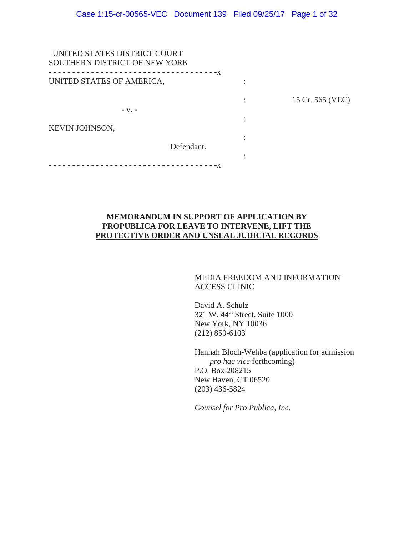| UNITED STATES DISTRICT COURT         |                  |
|--------------------------------------|------------------|
| SOUTHERN DISTRICT OF NEW YORK        |                  |
| ------------------------------------ |                  |
| UNITED STATES OF AMERICA,            |                  |
|                                      | 15 Cr. 565 (VEC) |
| $-V.$ -                              |                  |
|                                      |                  |
| KEVIN JOHNSON,                       |                  |
|                                      |                  |
| Defendant.                           |                  |
|                                      |                  |
| $- - - - - - - - - -X$               |                  |
|                                      |                  |

# **MEMORANDUM IN SUPPORT OF APPLICATION BY PROPUBLICA FOR LEAVE TO INTERVENE, LIFT THE PROTECTIVE ORDER AND UNSEAL JUDICIAL RECORDS**

# MEDIA FREEDOM AND INFORMATION ACCESS CLINIC

David A. Schulz 321 W. 44<sup>th</sup> Street, Suite 1000 New York, NY 10036 (212) 850-6103

Hannah Bloch-Wehba (application for admission *pro hac vice* forthcoming) P.O. Box 208215 New Haven, CT 06520 (203) 436-5824

*Counsel for Pro Publica, Inc.*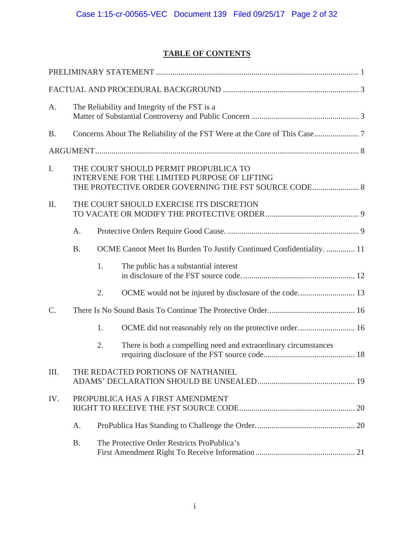# **TABLE OF CONTENTS**

| A.        |           |    | The Reliability and Integrity of the FST is a                                                                                                 |
|-----------|-----------|----|-----------------------------------------------------------------------------------------------------------------------------------------------|
| <b>B.</b> |           |    |                                                                                                                                               |
|           |           |    |                                                                                                                                               |
| I.        |           |    | THE COURT SHOULD PERMIT PROPUBLICA TO<br>INTERVENE FOR THE LIMITED PURPOSE OF LIFTING<br>THE PROTECTIVE ORDER GOVERNING THE FST SOURCE CODE 8 |
| II.       |           |    | THE COURT SHOULD EXERCISE ITS DISCRETION                                                                                                      |
|           | A.        |    |                                                                                                                                               |
|           | <b>B.</b> |    | OCME Cannot Meet Its Burden To Justify Continued Confidentiality.  11                                                                         |
|           |           | 1. | The public has a substantial interest                                                                                                         |
|           |           | 2. |                                                                                                                                               |
| $C$ .     |           |    |                                                                                                                                               |
|           |           | 1. |                                                                                                                                               |
|           |           | 2. | There is both a compelling need and extraordinary circumstances                                                                               |
| III.      |           |    | THE REDACTED PORTIONS OF NATHANIEL                                                                                                            |
| IV.       |           |    | PROPUBLICA HAS A FIRST AMENDMENT                                                                                                              |
|           | A.        |    |                                                                                                                                               |
|           | <b>B.</b> |    | The Protective Order Restricts ProPublica's                                                                                                   |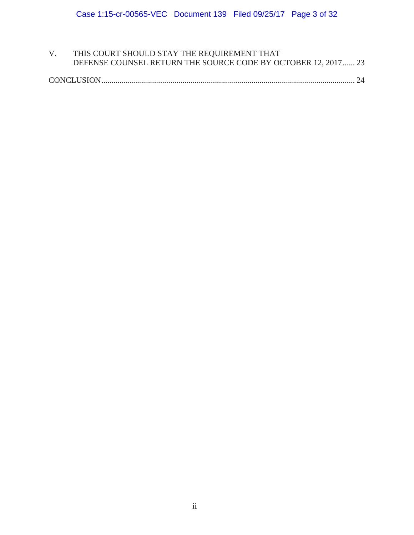| THIS COURT SHOULD STAY THE REQUIREMENT THAT                   |
|---------------------------------------------------------------|
| DEFENSE COUNSEL RETURN THE SOURCE CODE BY OCTOBER 12, 2017 23 |

|--|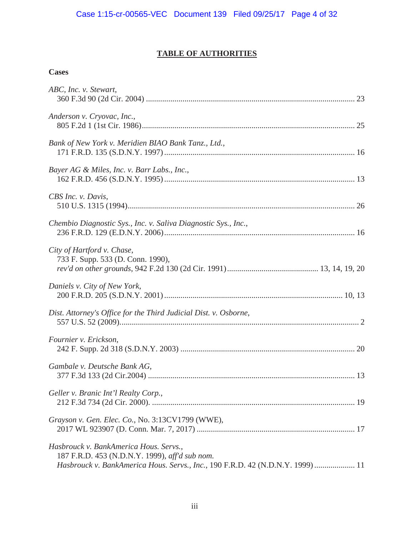# **TABLE OF AUTHORITIES**

# **Cases**

| ABC, Inc. v. Stewart,                                                                                                                                                      |
|----------------------------------------------------------------------------------------------------------------------------------------------------------------------------|
| Anderson v. Cryovac, Inc.,                                                                                                                                                 |
| Bank of New York v. Meridien BIAO Bank Tanz., Ltd.,                                                                                                                        |
| Bayer AG & Miles, Inc. v. Barr Labs., Inc.,                                                                                                                                |
| CBS Inc. v. Davis,                                                                                                                                                         |
| Chembio Diagnostic Sys., Inc. v. Saliva Diagnostic Sys., Inc.,                                                                                                             |
| City of Hartford v. Chase,<br>733 F. Supp. 533 (D. Conn. 1990),                                                                                                            |
| Daniels v. City of New York,                                                                                                                                               |
| Dist. Attorney's Office for the Third Judicial Dist. v. Osborne,                                                                                                           |
| Fournier v. Erickson,                                                                                                                                                      |
| Gambale v. Deutsche Bank AG,                                                                                                                                               |
| Geller v. Branic Int'l Realty Corp.,                                                                                                                                       |
| Grayson v. Gen. Elec. Co., No. 3:13CV1799 (WWE),                                                                                                                           |
| Hasbrouck v. BankAmerica Hous. Servs.,<br>187 F.R.D. 453 (N.D.N.Y. 1999), aff'd sub nom.<br>Hasbrouck v. BankAmerica Hous. Servs., Inc., 190 F.R.D. 42 (N.D.N.Y. 1999)  11 |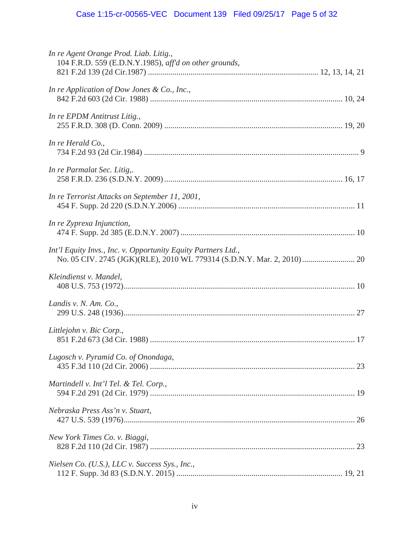| In re Agent Orange Prod. Liab. Litig.,<br>104 F.R.D. 559 (E.D.N.Y.1985), aff'd on other grounds,                                        |
|-----------------------------------------------------------------------------------------------------------------------------------------|
| In re Application of Dow Jones & Co., Inc.,                                                                                             |
| In re EPDM Antitrust Litig.,                                                                                                            |
| In re Herald $Co.$ ,                                                                                                                    |
| In re Parmalat Sec. Litig,.                                                                                                             |
| In re Terrorist Attacks on September 11, 2001,                                                                                          |
| In re Zyprexa Injunction,                                                                                                               |
| Int'l Equity Invs., Inc. v. Opportunity Equity Partners Ltd.,<br>No. 05 CIV. 2745 (JGK)(RLE), 2010 WL 779314 (S.D.N.Y. Mar. 2, 2010) 20 |
| Kleindienst v. Mandel,                                                                                                                  |
| Landis v. N. Am. Co.,                                                                                                                   |
| Littlejohn v. Bic Corp.,                                                                                                                |
| Lugosch v. Pyramid Co. of Onondaga,                                                                                                     |
| Martindell v. Int'l Tel. & Tel. Corp.,                                                                                                  |
| Nebraska Press Ass'n v. Stuart,                                                                                                         |
| New York Times Co. v. Biaggi,                                                                                                           |
| Nielsen Co. (U.S.), LLC v. Success Sys., Inc.,                                                                                          |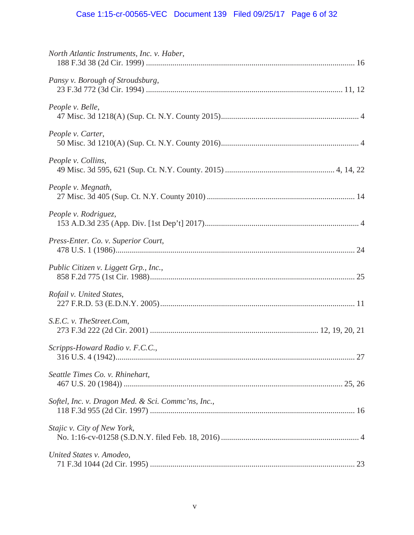# Case 1:15-cr-00565-VEC Document 139 Filed 09/25/17 Page 6 of 32

| North Atlantic Instruments, Inc. v. Haber,         |  |
|----------------------------------------------------|--|
| Pansy v. Borough of Stroudsburg,                   |  |
| People v. Belle,                                   |  |
| People v. Carter,                                  |  |
| People v. Collins,                                 |  |
| People v. Megnath,                                 |  |
| People v. Rodriguez,                               |  |
| Press-Enter. Co. v. Superior Court,                |  |
| Public Citizen v. Liggett Grp., Inc.,              |  |
| Rofail v. United States,                           |  |
| S.E.C. v. The Street.Com,                          |  |
| Scripps-Howard Radio v. F.C.C.,                    |  |
| Seattle Times Co. v. Rhinehart,                    |  |
| Softel, Inc. v. Dragon Med. & Sci. Commc'ns, Inc., |  |
| Stajic v. City of New York,                        |  |
| United States v. Amodeo,                           |  |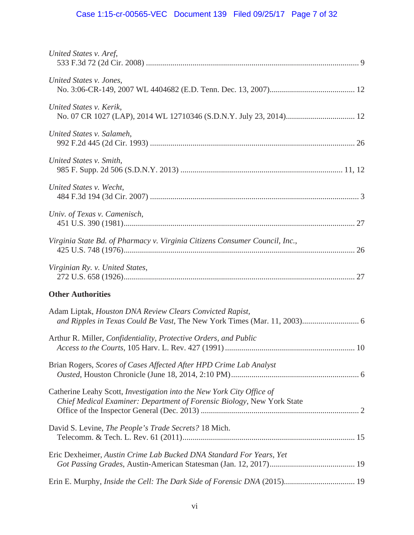# Case 1:15-cr-00565-VEC Document 139 Filed 09/25/17 Page 7 of 32

| United States v. Aref,                                                                                                                          |  |
|-------------------------------------------------------------------------------------------------------------------------------------------------|--|
| United States v. Jones,                                                                                                                         |  |
| United States v. Kerik,                                                                                                                         |  |
| United States v. Salameh,                                                                                                                       |  |
| United States v. Smith,                                                                                                                         |  |
| United States v. Wecht,                                                                                                                         |  |
| Univ. of Texas v. Camenisch,                                                                                                                    |  |
| Virginia State Bd. of Pharmacy v. Virginia Citizens Consumer Council, Inc.,                                                                     |  |
| Virginian Ry. v. United States,                                                                                                                 |  |
| <b>Other Authorities</b>                                                                                                                        |  |
| Adam Liptak, Houston DNA Review Clears Convicted Rapist,                                                                                        |  |
| Arthur R. Miller, <i>Confidentiality</i> , <i>Protective Orders</i> , and <i>Public</i>                                                         |  |
| Brian Rogers, Scores of Cases Affected After HPD Crime Lab Analyst                                                                              |  |
| Catherine Leahy Scott, Investigation into the New York City Office of<br>Chief Medical Examiner: Department of Forensic Biology, New York State |  |
| David S. Levine, The People's Trade Secrets? 18 Mich.                                                                                           |  |
| Eric Dexheimer, Austin Crime Lab Bucked DNA Standard For Years, Yet                                                                             |  |
| Erin E. Murphy, Inside the Cell: The Dark Side of Forensic DNA (2015) 19                                                                        |  |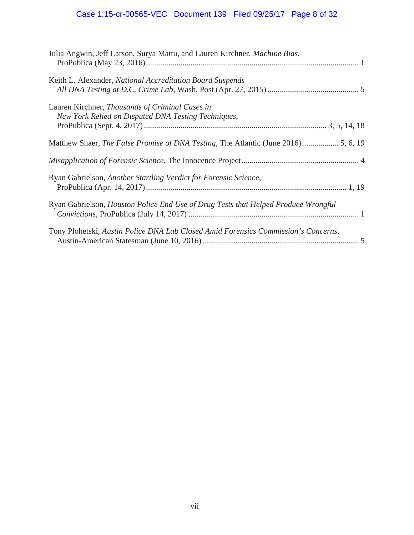# Case 1:15-cr-00565-VEC Document 139 Filed 09/25/17 Page 8 of 32

| Julia Angwin, Jeff Larson, Surya Mattu, and Lauren Kirchner, Machine Bias,                             |
|--------------------------------------------------------------------------------------------------------|
| Keith L. Alexander, National Accreditation Board Suspends                                              |
| Lauren Kirchner, Thousands of Criminal Cases in<br>New York Relied on Disputed DNA Testing Techniques, |
|                                                                                                        |
|                                                                                                        |
|                                                                                                        |
| Ryan Gabrielson, Another Startling Verdict for Forensic Science,                                       |
| Ryan Gabrielson, Houston Police End Use of Drug Tests that Helped Produce Wrongful                     |
| Tony Plohetski, Austin Police DNA Lab Closed Amid Forensics Commission's Concerns,                     |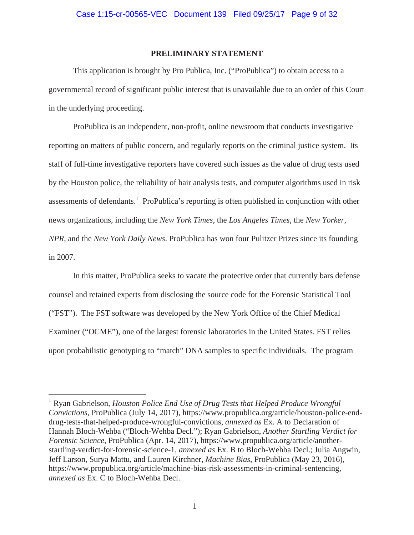## **PRELIMINARY STATEMENT**

This application is brought by Pro Publica, Inc. ("ProPublica") to obtain access to a governmental record of significant public interest that is unavailable due to an order of this Court in the underlying proceeding.

ProPublica is an independent, non-profit, online newsroom that conducts investigative reporting on matters of public concern, and regularly reports on the criminal justice system. Its staff of full-time investigative reporters have covered such issues as the value of drug tests used by the Houston police, the reliability of hair analysis tests, and computer algorithms used in risk assessments of defendants.<sup>1</sup> ProPublica's reporting is often published in conjunction with other news organizations, including the *New York Times*, the *Los Angeles Times*, the *New Yorker*, *NPR*, and the *New York Daily News*. ProPublica has won four Pulitzer Prizes since its founding in 2007.

In this matter, ProPublica seeks to vacate the protective order that currently bars defense counsel and retained experts from disclosing the source code for the Forensic Statistical Tool ("FST"). The FST software was developed by the New York Office of the Chief Medical Examiner ("OCME"), one of the largest forensic laboratories in the United States. FST relies upon probabilistic genotyping to "match" DNA samples to specific individuals. The program

<sup>&</sup>lt;sup>1</sup> Ryan Gabrielson, *Houston Police End Use of Drug Tests that Helped Produce Wrongful Convictions*, ProPublica (July 14, 2017), https://www.propublica.org/article/houston-police-enddrug-tests-that-helped-produce-wrongful-convictions, *annexed as* Ex. A to Declaration of Hannah Bloch-Wehba ("Bloch-Wehba Decl."); Ryan Gabrielson, *Another Startling Verdict for Forensic Science*, ProPublica (Apr. 14, 2017), https://www.propublica.org/article/anotherstartling-verdict-for-forensic-science-1, *annexed as* Ex. B to Bloch-Wehba Decl.; Julia Angwin, Jeff Larson, Surya Mattu, and Lauren Kirchner, *Machine Bias*, ProPublica (May 23, 2016), https://www.propublica.org/article/machine-bias-risk-assessments-in-criminal-sentencing, *annexed as* Ex. C to Bloch-Wehba Decl.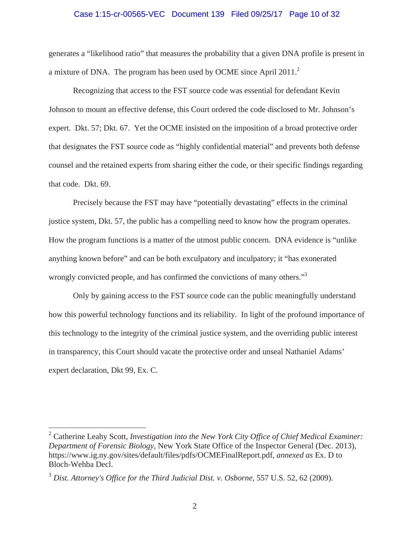#### Case 1:15-cr-00565-VEC Document 139 Filed 09/25/17 Page 10 of 32

generates a "likelihood ratio" that measures the probability that a given DNA profile is present in a mixture of DNA. The program has been used by OCME since April 2011. $^2$ 

Recognizing that access to the FST source code was essential for defendant Kevin Johnson to mount an effective defense, this Court ordered the code disclosed to Mr. Johnson's expert. Dkt. 57; Dkt. 67. Yet the OCME insisted on the imposition of a broad protective order that designates the FST source code as "highly confidential material" and prevents both defense counsel and the retained experts from sharing either the code, or their specific findings regarding that code. Dkt. 69.

Precisely because the FST may have "potentially devastating" effects in the criminal justice system, Dkt. 57, the public has a compelling need to know how the program operates. How the program functions is a matter of the utmost public concern. DNA evidence is "unlike anything known before" and can be both exculpatory and inculpatory; it "has exonerated wrongly convicted people, and has confirmed the convictions of many others.<sup>"3</sup>

Only by gaining access to the FST source code can the public meaningfully understand how this powerful technology functions and its reliability. In light of the profound importance of this technology to the integrity of the criminal justice system, and the overriding public interest in transparency, this Court should vacate the protective order and unseal Nathaniel Adams' expert declaration, Dkt 99, Ex. C.

<sup>&</sup>lt;sup>2</sup> Catherine Leahy Scott, *Investigation into the New York City Office of Chief Medical Examiner: Department of Forensic Biology*, New York State Office of the Inspector General (Dec. 2013), https://www.ig.ny.gov/sites/default/files/pdfs/OCMEFinalReport.pdf, *annexed as* Ex. D to Bloch-Wehba Decl.

<sup>3</sup> *Dist. Attorney's Office for the Third Judicial Dist. v. Osborne*, 557 U.S. 52, 62 (2009).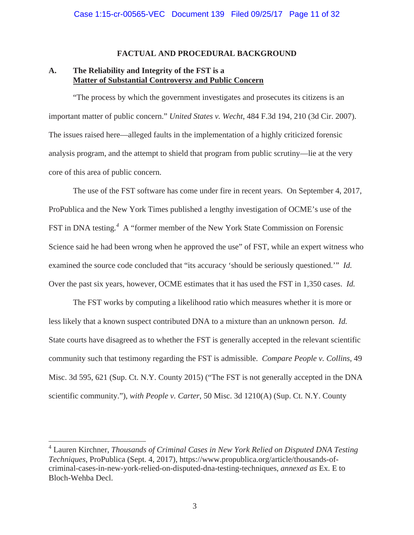### **FACTUAL AND PROCEDURAL BACKGROUND**

# **A. The Reliability and Integrity of the FST is a Matter of Substantial Controversy and Public Concern**

"The process by which the government investigates and prosecutes its citizens is an important matter of public concern." *United States v. Wecht*, 484 F.3d 194, 210 (3d Cir. 2007). The issues raised here—alleged faults in the implementation of a highly criticized forensic analysis program, and the attempt to shield that program from public scrutiny—lie at the very core of this area of public concern.

The use of the FST software has come under fire in recent years. On September 4, 2017, ProPublica and the New York Times published a lengthy investigation of OCME's use of the FST in DNA testing.<sup>4</sup> A "former member of the New York State Commission on Forensic Science said he had been wrong when he approved the use" of FST, while an expert witness who examined the source code concluded that "its accuracy 'should be seriously questioned.'" *Id.* Over the past six years, however, OCME estimates that it has used the FST in 1,350 cases. *Id.*

The FST works by computing a likelihood ratio which measures whether it is more or less likely that a known suspect contributed DNA to a mixture than an unknown person. *Id.* State courts have disagreed as to whether the FST is generally accepted in the relevant scientific community such that testimony regarding the FST is admissible. *Compare People v. Collins*, 49 Misc. 3d 595, 621 (Sup. Ct. N.Y. County 2015) ("The FST is not generally accepted in the DNA scientific community."), *with People v. Carter*, 50 Misc. 3d 1210(A) (Sup. Ct. N.Y. County

<sup>&</sup>lt;sup>4</sup> Lauren Kirchner, *Thousands of Criminal Cases in New York Relied on Disputed DNA Testing Techniques*, ProPublica (Sept. 4, 2017), https://www.propublica.org/article/thousands-ofcriminal-cases-in-new-york-relied-on-disputed-dna-testing-techniques, *annexed as* Ex. E to Bloch-Wehba Decl.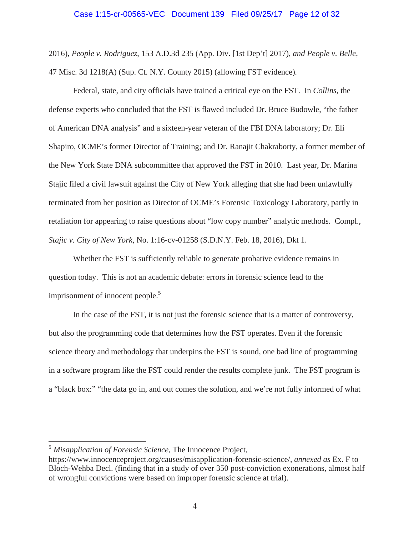2016), *People v. Rodriguez*, 153 A.D.3d 235 (App. Div. [1st Dep't] 2017), *and People v. Belle*, 47 Misc. 3d 1218(A) (Sup. Ct. N.Y. County 2015) (allowing FST evidence)*.* 

Federal, state, and city officials have trained a critical eye on the FST. In *Collins*, the defense experts who concluded that the FST is flawed included Dr. Bruce Budowle, "the father of American DNA analysis" and a sixteen-year veteran of the FBI DNA laboratory; Dr. Eli Shapiro, OCME's former Director of Training; and Dr. Ranajit Chakraborty, a former member of the New York State DNA subcommittee that approved the FST in 2010. Last year, Dr. Marina Stajic filed a civil lawsuit against the City of New York alleging that she had been unlawfully terminated from her position as Director of OCME's Forensic Toxicology Laboratory, partly in retaliation for appearing to raise questions about "low copy number" analytic methods. Compl., *Stajic v. City of New York*, No. 1:16-cv-01258 (S.D.N.Y. Feb. 18, 2016), Dkt 1.

Whether the FST is sufficiently reliable to generate probative evidence remains in question today. This is not an academic debate: errors in forensic science lead to the imprisonment of innocent people.<sup>5</sup>

In the case of the FST, it is not just the forensic science that is a matter of controversy, but also the programming code that determines how the FST operates. Even if the forensic science theory and methodology that underpins the FST is sound, one bad line of programming in a software program like the FST could render the results complete junk. The FST program is a "black box:" "the data go in, and out comes the solution, and we're not fully informed of what

<sup>5</sup> *Misapplication of Forensic Science*, The Innocence Project,

https://www.innocenceproject.org/causes/misapplication-forensic-science/, *annexed as* Ex. F to Bloch-Wehba Decl. (finding that in a study of over 350 post-conviction exonerations, almost half of wrongful convictions were based on improper forensic science at trial).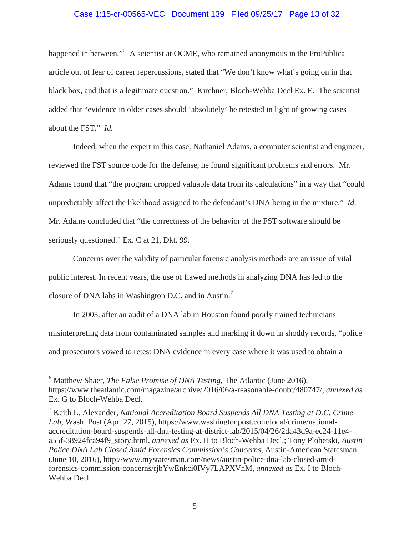### Case 1:15-cr-00565-VEC Document 139 Filed 09/25/17 Page 13 of 32

happened in between."<sup>6</sup> A scientist at OCME, who remained anonymous in the ProPublica article out of fear of career repercussions, stated that "We don't know what's going on in that black box, and that is a legitimate question." Kirchner, Bloch-Wehba Decl Ex. E. The scientist added that "evidence in older cases should 'absolutely' be retested in light of growing cases about the FST." *Id.*

Indeed, when the expert in this case, Nathaniel Adams, a computer scientist and engineer, reviewed the FST source code for the defense, he found significant problems and errors. Mr. Adams found that "the program dropped valuable data from its calculations" in a way that "could unpredictably affect the likelihood assigned to the defendant's DNA being in the mixture." *Id.* Mr. Adams concluded that "the correctness of the behavior of the FST software should be seriously questioned." Ex. C at 21, Dkt. 99.

Concerns over the validity of particular forensic analysis methods are an issue of vital public interest. In recent years, the use of flawed methods in analyzing DNA has led to the closure of DNA labs in Washington D.C. and in Austin.<sup>7</sup>

In 2003, after an audit of a DNA lab in Houston found poorly trained technicians misinterpreting data from contaminated samples and marking it down in shoddy records, "police and prosecutors vowed to retest DNA evidence in every case where it was used to obtain a

<sup>6</sup> Matthew Shaer, *The False Promise of DNA Testing*, The Atlantic (June 2016), https://www.theatlantic.com/magazine/archive/2016/06/a-reasonable-doubt/480747/, *annexed as*  Ex. G to Bloch-Wehba Decl.

<sup>7</sup> Keith L. Alexander, *National Accreditation Board Suspends All DNA Testing at D.C. Crime Lab*, Wash. Post (Apr. 27, 2015), https://www.washingtonpost.com/local/crime/nationalaccreditation-board-suspends-all-dna-testing-at-district-lab/2015/04/26/2da43d9a-ec24-11e4 a55f-38924fca94f9\_story.html, *annexed as* Ex. H to Bloch-Wehba Decl.; Tony Plohetski, *Austin Police DNA Lab Closed Amid Forensics Commission's Concerns*, Austin-American Statesman (June 10, 2016), http://www.mystatesman.com/news/austin-police-dna-lab-closed-amidforensics-commission-concerns/rjbYwEnkci0IVy7LAPXVnM, *annexed as* Ex. I to Bloch-Wehba Decl.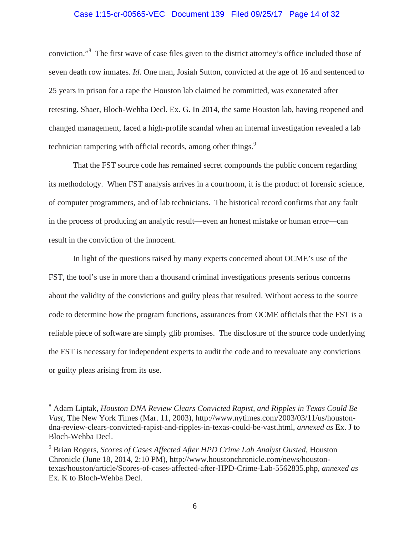# Case 1:15-cr-00565-VEC Document 139 Filed 09/25/17 Page 14 of 32

conviction."<sup>8</sup> The first wave of case files given to the district attorney's office included those of seven death row inmates. *Id*. One man, Josiah Sutton, convicted at the age of 16 and sentenced to 25 years in prison for a rape the Houston lab claimed he committed, was exonerated after retesting. Shaer, Bloch-Wehba Decl. Ex. G. In 2014, the same Houston lab, having reopened and changed management, faced a high-profile scandal when an internal investigation revealed a lab technician tampering with official records, among other things.<sup>9</sup>

That the FST source code has remained secret compounds the public concern regarding its methodology. When FST analysis arrives in a courtroom, it is the product of forensic science, of computer programmers, and of lab technicians. The historical record confirms that any fault in the process of producing an analytic result—even an honest mistake or human error—can result in the conviction of the innocent.

In light of the questions raised by many experts concerned about OCME's use of the FST, the tool's use in more than a thousand criminal investigations presents serious concerns about the validity of the convictions and guilty pleas that resulted. Without access to the source code to determine how the program functions, assurances from OCME officials that the FST is a reliable piece of software are simply glib promises. The disclosure of the source code underlying the FST is necessary for independent experts to audit the code and to reevaluate any convictions or guilty pleas arising from its use.

<sup>8</sup> Adam Liptak, *Houston DNA Review Clears Convicted Rapist, and Ripples in Texas Could Be Vast*, The New York Times (Mar. 11, 2003), http://www.nytimes.com/2003/03/11/us/houstondna-review-clears-convicted-rapist-and-ripples-in-texas-could-be-vast.html, *annexed as* Ex. J to Bloch-Wehba Decl.

<sup>9</sup> Brian Rogers, *Scores of Cases Affected After HPD Crime Lab Analyst Ousted*, Houston Chronicle (June 18, 2014, 2:10 PM), http://www.houstonchronicle.com/news/houstontexas/houston/article/Scores-of-cases-affected-after-HPD-Crime-Lab-5562835.php, *annexed as*  Ex. K to Bloch-Wehba Decl.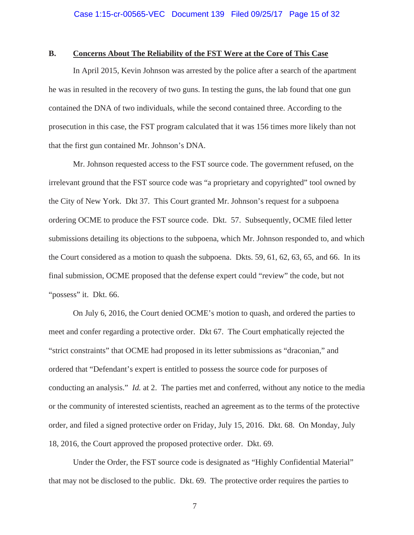## **B. Concerns About The Reliability of the FST Were at the Core of This Case**

In April 2015, Kevin Johnson was arrested by the police after a search of the apartment he was in resulted in the recovery of two guns. In testing the guns, the lab found that one gun contained the DNA of two individuals, while the second contained three. According to the prosecution in this case, the FST program calculated that it was 156 times more likely than not that the first gun contained Mr. Johnson's DNA.

Mr. Johnson requested access to the FST source code. The government refused, on the irrelevant ground that the FST source code was "a proprietary and copyrighted" tool owned by the City of New York. Dkt 37. This Court granted Mr. Johnson's request for a subpoena ordering OCME to produce the FST source code. Dkt. 57. Subsequently, OCME filed letter submissions detailing its objections to the subpoena, which Mr. Johnson responded to, and which the Court considered as a motion to quash the subpoena. Dkts. 59, 61, 62, 63, 65, and 66. In its final submission, OCME proposed that the defense expert could "review" the code, but not "possess" it. Dkt. 66.

On July 6, 2016, the Court denied OCME's motion to quash, and ordered the parties to meet and confer regarding a protective order. Dkt 67. The Court emphatically rejected the "strict constraints" that OCME had proposed in its letter submissions as "draconian," and ordered that "Defendant's expert is entitled to possess the source code for purposes of conducting an analysis." *Id.* at 2. The parties met and conferred, without any notice to the media or the community of interested scientists, reached an agreement as to the terms of the protective order, and filed a signed protective order on Friday, July 15, 2016. Dkt. 68. On Monday, July 18, 2016, the Court approved the proposed protective order. Dkt. 69.

Under the Order, the FST source code is designated as "Highly Confidential Material" that may not be disclosed to the public. Dkt. 69. The protective order requires the parties to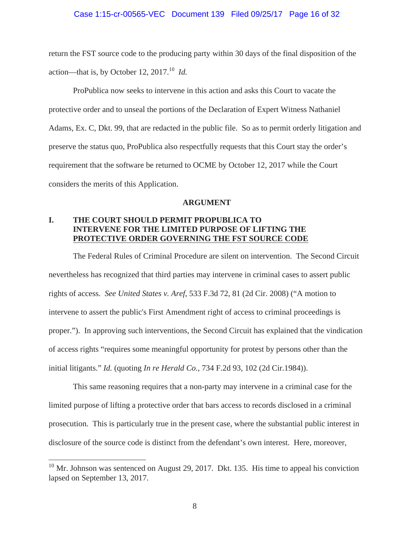#### Case 1:15-cr-00565-VEC Document 139 Filed 09/25/17 Page 16 of 32

return the FST source code to the producing party within 30 days of the final disposition of the action—that is, by October 12,  $2017<sup>10</sup>$  *Id.* 

ProPublica now seeks to intervene in this action and asks this Court to vacate the protective order and to unseal the portions of the Declaration of Expert Witness Nathaniel Adams, Ex. C, Dkt. 99, that are redacted in the public file. So as to permit orderly litigation and preserve the status quo, ProPublica also respectfully requests that this Court stay the order's requirement that the software be returned to OCME by October 12, 2017 while the Court considers the merits of this Application.

#### **ARGUMENT**

# **I. THE COURT SHOULD PERMIT PROPUBLICA TO INTERVENE FOR THE LIMITED PURPOSE OF LIFTING THE PROTECTIVE ORDER GOVERNING THE FST SOURCE CODE**

The Federal Rules of Criminal Procedure are silent on intervention. The Second Circuit nevertheless has recognized that third parties may intervene in criminal cases to assert public rights of access. *See United States v. Aref*, 533 F.3d 72, 81 (2d Cir. 2008) ("A motion to intervene to assert the public's First Amendment right of access to criminal proceedings is proper."). In approving such interventions, the Second Circuit has explained that the vindication of access rights "requires some meaningful opportunity for protest by persons other than the initial litigants." *Id.* (quoting *In re Herald Co.*, 734 F.2d 93, 102 (2d Cir.1984)).

This same reasoning requires that a non-party may intervene in a criminal case for the limited purpose of lifting a protective order that bars access to records disclosed in a criminal prosecution. This is particularly true in the present case, where the substantial public interest in disclosure of the source code is distinct from the defendant's own interest. Here, moreover,

 $10$  Mr. Johnson was sentenced on August 29, 2017. Dkt. 135. His time to appeal his conviction lapsed on September 13, 2017.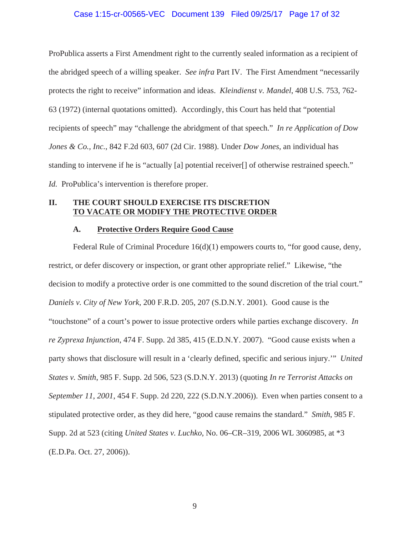#### Case 1:15-cr-00565-VEC Document 139 Filed 09/25/17 Page 17 of 32

ProPublica asserts a First Amendment right to the currently sealed information as a recipient of the abridged speech of a willing speaker. *See infra* Part IV. The First Amendment "necessarily protects the right to receive" information and ideas. *Kleindienst v. Mandel*, 408 U.S. 753, 762- 63 (1972) (internal quotations omitted). Accordingly, this Court has held that "potential recipients of speech" may "challenge the abridgment of that speech." *In re Application of Dow Jones & Co., Inc.*, 842 F.2d 603, 607 (2d Cir. 1988). Under *Dow Jones*, an individual has standing to intervene if he is "actually [a] potential receiver[] of otherwise restrained speech." *Id.* ProPublica's intervention is therefore proper.

## **II. THE COURT SHOULD EXERCISE ITS DISCRETION TO VACATE OR MODIFY THE PROTECTIVE ORDER**

#### **A. Protective Orders Require Good Cause**

Federal Rule of Criminal Procedure 16(d)(1) empowers courts to, "for good cause, deny, restrict, or defer discovery or inspection, or grant other appropriate relief." Likewise, "the decision to modify a protective order is one committed to the sound discretion of the trial court." *Daniels v. City of New York*, 200 F.R.D. 205, 207 (S.D.N.Y. 2001). Good cause is the "touchstone" of a court's power to issue protective orders while parties exchange discovery. *In re Zyprexa Injunction*, 474 F. Supp. 2d 385, 415 (E.D.N.Y. 2007). "Good cause exists when a party shows that disclosure will result in a 'clearly defined, specific and serious injury.'" *United States v. Smith*, 985 F. Supp. 2d 506, 523 (S.D.N.Y. 2013) (quoting *In re Terrorist Attacks on September 11*, *2001*, 454 F. Supp. 2d 220, 222 (S.D.N.Y.2006)). Even when parties consent to a stipulated protective order, as they did here, "good cause remains the standard." *Smith*, 985 F. Supp. 2d at 523 (citing *United States v. Luchko*, No. 06–CR–319, 2006 WL 3060985, at \*3 (E.D.Pa. Oct. 27, 2006)).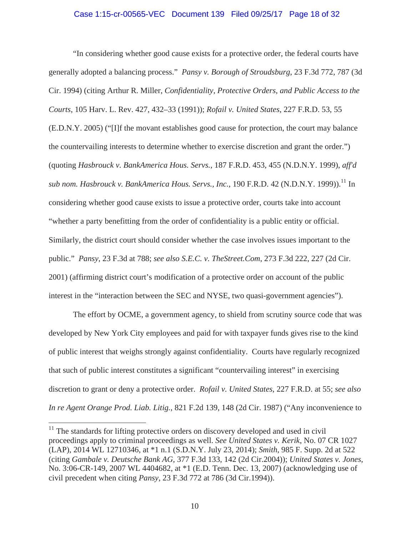#### Case 1:15-cr-00565-VEC Document 139 Filed 09/25/17 Page 18 of 32

"In considering whether good cause exists for a protective order, the federal courts have generally adopted a balancing process." *Pansy v. Borough of Stroudsburg*, 23 F.3d 772, 787 (3d Cir. 1994) (citing Arthur R. Miller, *Confidentiality, Protective Orders, and Public Access to the Courts*, 105 Harv. L. Rev. 427, 432–33 (1991)); *Rofail v. United States*, 227 F.R.D. 53, 55 (E.D.N.Y. 2005) ("[I]f the movant establishes good cause for protection, the court may balance the countervailing interests to determine whether to exercise discretion and grant the order.") (quoting *Hasbrouck v. BankAmerica Hous. Servs.*, 187 F.R.D. 453, 455 (N.D.N.Y. 1999), *aff'd sub nom. Hasbrouck v. BankAmerica Hous. Servs., Inc.,* 190 F.R.D. 42 (N.D.N.Y. 1999)).<sup>11</sup> In considering whether good cause exists to issue a protective order, courts take into account "whether a party benefitting from the order of confidentiality is a public entity or official. Similarly, the district court should consider whether the case involves issues important to the public." *Pansy*, 23 F.3d at 788; *see also S.E.C. v. TheStreet.Com*, 273 F.3d 222, 227 (2d Cir. 2001) (affirming district court's modification of a protective order on account of the public interest in the "interaction between the SEC and NYSE, two quasi-government agencies").

The effort by OCME, a government agency, to shield from scrutiny source code that was developed by New York City employees and paid for with taxpayer funds gives rise to the kind of public interest that weighs strongly against confidentiality. Courts have regularly recognized that such of public interest constitutes a significant "countervailing interest" in exercising discretion to grant or deny a protective order. *Rofail v. United States*, 227 F.R.D. at 55; *see also In re Agent Orange Prod. Liab. Litig.*, 821 F.2d 139, 148 (2d Cir. 1987) ("Any inconvenience to

 $11$  The standards for lifting protective orders on discovery developed and used in civil proceedings apply to criminal proceedings as well. *See United States v. Kerik*, No. 07 CR 1027 (LAP), 2014 WL 12710346, at \*1 n.1 (S.D.N.Y. July 23, 2014); *Smith*, 985 F. Supp. 2d at 522 (citing *Gambale v. Deutsche Bank AG*, 377 F.3d 133, 142 (2d Cir.2004)); *United States v. Jones*, No. 3:06-CR-149, 2007 WL 4404682, at \*1 (E.D. Tenn. Dec. 13, 2007) (acknowledging use of civil precedent when citing *Pansy*, 23 F.3d 772 at 786 (3d Cir.1994)).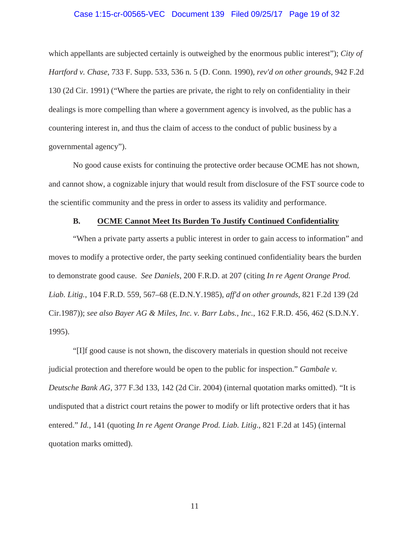#### Case 1:15-cr-00565-VEC Document 139 Filed 09/25/17 Page 19 of 32

which appellants are subjected certainly is outweighed by the enormous public interest"); *City of Hartford v. Chase*, 733 F. Supp. 533, 536 n. 5 (D. Conn. 1990), *rev'd on other grounds*, 942 F.2d 130 (2d Cir. 1991) ("Where the parties are private, the right to rely on confidentiality in their dealings is more compelling than where a government agency is involved, as the public has a countering interest in, and thus the claim of access to the conduct of public business by a governmental agency").

No good cause exists for continuing the protective order because OCME has not shown, and cannot show, a cognizable injury that would result from disclosure of the FST source code to the scientific community and the press in order to assess its validity and performance.

### **B. OCME Cannot Meet Its Burden To Justify Continued Confidentiality**

"When a private party asserts a public interest in order to gain access to information" and moves to modify a protective order, the party seeking continued confidentiality bears the burden to demonstrate good cause. *See Daniels*, 200 F.R.D. at 207 (citing *In re Agent Orange Prod. Liab. Litig.*, 104 F.R.D. 559, 567–68 (E.D.N.Y.1985), *aff'd on other grounds*, 821 F.2d 139 (2d Cir.1987)); *see also Bayer AG & Miles, Inc. v. Barr Labs., Inc.*, 162 F.R.D. 456, 462 (S.D.N.Y. 1995).

"[I]f good cause is not shown, the discovery materials in question should not receive judicial protection and therefore would be open to the public for inspection." *Gambale v. Deutsche Bank AG*, 377 F.3d 133, 142 (2d Cir. 2004) (internal quotation marks omitted). "It is undisputed that a district court retains the power to modify or lift protective orders that it has entered." *Id.*, 141 (quoting *In re Agent Orange Prod. Liab. Litig*., 821 F.2d at 145) (internal quotation marks omitted).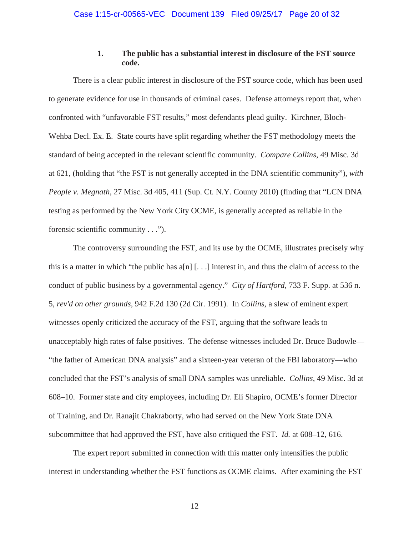## **1. The public has a substantial interest in disclosure of the FST source code.**

There is a clear public interest in disclosure of the FST source code, which has been used to generate evidence for use in thousands of criminal cases. Defense attorneys report that, when confronted with "unfavorable FST results," most defendants plead guilty. Kirchner, Bloch-Wehba Decl. Ex. E. State courts have split regarding whether the FST methodology meets the standard of being accepted in the relevant scientific community. *Compare Collins*, 49 Misc. 3d at 621, (holding that "the FST is not generally accepted in the DNA scientific community"), *with People v. Megnath*, 27 Misc. 3d 405, 411 (Sup. Ct. N.Y. County 2010) (finding that "LCN DNA testing as performed by the New York City OCME, is generally accepted as reliable in the forensic scientific community . . .").

The controversy surrounding the FST, and its use by the OCME, illustrates precisely why this is a matter in which "the public has  $a[n]$ ...] interest in, and thus the claim of access to the conduct of public business by a governmental agency." *City of Hartford*, 733 F. Supp. at 536 n. 5, *rev'd on other grounds*, 942 F.2d 130 (2d Cir. 1991). In *Collins*, a slew of eminent expert witnesses openly criticized the accuracy of the FST, arguing that the software leads to unacceptably high rates of false positives. The defense witnesses included Dr. Bruce Budowle— "the father of American DNA analysis" and a sixteen-year veteran of the FBI laboratory—who concluded that the FST's analysis of small DNA samples was unreliable. *Collins*, 49 Misc. 3d at 608–10. Former state and city employees, including Dr. Eli Shapiro, OCME's former Director of Training, and Dr. Ranajit Chakraborty, who had served on the New York State DNA subcommittee that had approved the FST, have also critiqued the FST. *Id.* at 608–12, 616.

The expert report submitted in connection with this matter only intensifies the public interest in understanding whether the FST functions as OCME claims. After examining the FST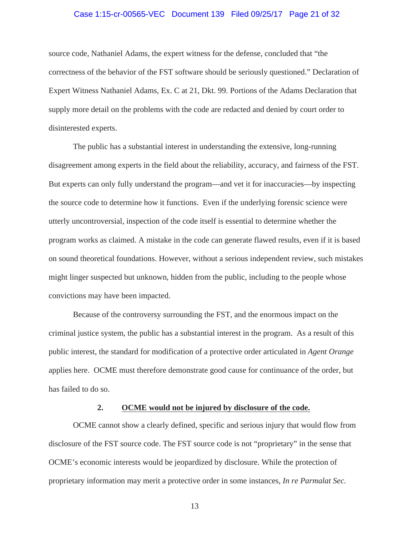#### Case 1:15-cr-00565-VEC Document 139 Filed 09/25/17 Page 21 of 32

source code, Nathaniel Adams, the expert witness for the defense, concluded that "the correctness of the behavior of the FST software should be seriously questioned." Declaration of Expert Witness Nathaniel Adams, Ex. C at 21, Dkt. 99. Portions of the Adams Declaration that supply more detail on the problems with the code are redacted and denied by court order to disinterested experts.

The public has a substantial interest in understanding the extensive, long-running disagreement among experts in the field about the reliability, accuracy, and fairness of the FST. But experts can only fully understand the program—and vet it for inaccuracies—by inspecting the source code to determine how it functions. Even if the underlying forensic science were utterly uncontroversial, inspection of the code itself is essential to determine whether the program works as claimed. A mistake in the code can generate flawed results, even if it is based on sound theoretical foundations. However, without a serious independent review, such mistakes might linger suspected but unknown, hidden from the public, including to the people whose convictions may have been impacted.

Because of the controversy surrounding the FST, and the enormous impact on the criminal justice system, the public has a substantial interest in the program. As a result of this public interest, the standard for modification of a protective order articulated in *Agent Orange*  applies here. OCME must therefore demonstrate good cause for continuance of the order, but has failed to do so.

#### **2. OCME would not be injured by disclosure of the code.**

OCME cannot show a clearly defined, specific and serious injury that would flow from disclosure of the FST source code. The FST source code is not "proprietary" in the sense that OCME's economic interests would be jeopardized by disclosure. While the protection of proprietary information may merit a protective order in some instances, *In re Parmalat Sec.*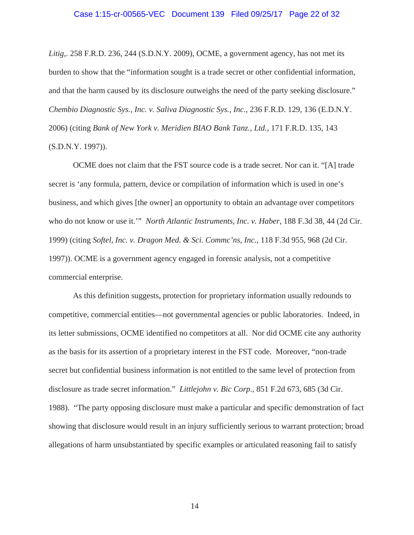#### Case 1:15-cr-00565-VEC Document 139 Filed 09/25/17 Page 22 of 32

*Litig,*. 258 F.R.D. 236, 244 (S.D.N.Y. 2009), OCME, a government agency, has not met its burden to show that the "information sought is a trade secret or other confidential information, and that the harm caused by its disclosure outweighs the need of the party seeking disclosure." *Chembio Diagnostic Sys., Inc. v. Saliva Diagnostic Sys., Inc.*, 236 F.R.D. 129, 136 (E.D.N.Y. 2006) (citing *Bank of New York v. Meridien BIAO Bank Tanz., Ltd.*, 171 F.R.D. 135, 143 (S.D.N.Y. 1997)).

OCME does not claim that the FST source code is a trade secret. Nor can it. "[A] trade secret is 'any formula, pattern, device or compilation of information which is used in one's business, and which gives [the owner] an opportunity to obtain an advantage over competitors who do not know or use it.'" *North Atlantic Instruments, Inc. v. Haber*, 188 F.3d 38, 44 (2d Cir. 1999) (citing *Softel, Inc. v. Dragon Med. & Sci. Commc'ns, Inc.*, 118 F.3d 955, 968 (2d Cir. 1997)). OCME is a government agency engaged in forensic analysis, not a competitive commercial enterprise.

As this definition suggests, protection for proprietary information usually redounds to competitive, commercial entities—not governmental agencies or public laboratories. Indeed, in its letter submissions, OCME identified no competitors at all. Nor did OCME cite any authority as the basis for its assertion of a proprietary interest in the FST code. Moreover, "non-trade secret but confidential business information is not entitled to the same level of protection from disclosure as trade secret information." *Littlejohn v. Bic Corp.*, 851 F.2d 673, 685 (3d Cir. 1988). "The party opposing disclosure must make a particular and specific demonstration of fact showing that disclosure would result in an injury sufficiently serious to warrant protection; broad allegations of harm unsubstantiated by specific examples or articulated reasoning fail to satisfy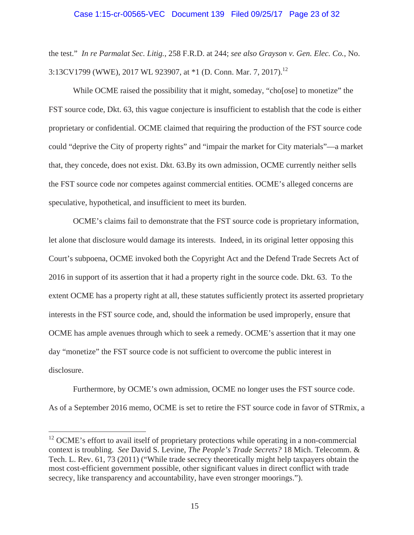# Case 1:15-cr-00565-VEC Document 139 Filed 09/25/17 Page 23 of 32

the test." *In re Parmalat Sec. Litig.*, 258 F.R.D. at 244; *see also Grayson v. Gen. Elec. Co.*, No. 3:13CV1799 (WWE), 2017 WL 923907, at  $*1$  (D. Conn. Mar. 7, 2017).<sup>12</sup>

While OCME raised the possibility that it might, someday, "cho[ose] to monetize" the FST source code, Dkt. 63, this vague conjecture is insufficient to establish that the code is either proprietary or confidential. OCME claimed that requiring the production of the FST source code could "deprive the City of property rights" and "impair the market for City materials"—a market that, they concede, does not exist. Dkt. 63.By its own admission, OCME currently neither sells the FST source code nor competes against commercial entities. OCME's alleged concerns are speculative, hypothetical, and insufficient to meet its burden.

OCME's claims fail to demonstrate that the FST source code is proprietary information, let alone that disclosure would damage its interests. Indeed, in its original letter opposing this Court's subpoena, OCME invoked both the Copyright Act and the Defend Trade Secrets Act of 2016 in support of its assertion that it had a property right in the source code. Dkt. 63. To the extent OCME has a property right at all, these statutes sufficiently protect its asserted proprietary interests in the FST source code, and, should the information be used improperly, ensure that OCME has ample avenues through which to seek a remedy. OCME's assertion that it may one day "monetize" the FST source code is not sufficient to overcome the public interest in disclosure.

Furthermore, by OCME's own admission, OCME no longer uses the FST source code. As of a September 2016 memo, OCME is set to retire the FST source code in favor of STRmix, a

<sup>&</sup>lt;sup>12</sup> OCME's effort to avail itself of proprietary protections while operating in a non-commercial context is troubling. *See* David S. Levine, *The People's Trade Secrets?* 18 Mich. Telecomm. & Tech. L. Rev. 61, 73 (2011) ("While trade secrecy theoretically might help taxpayers obtain the most cost-efficient government possible, other significant values in direct conflict with trade secrecy, like transparency and accountability, have even stronger moorings.").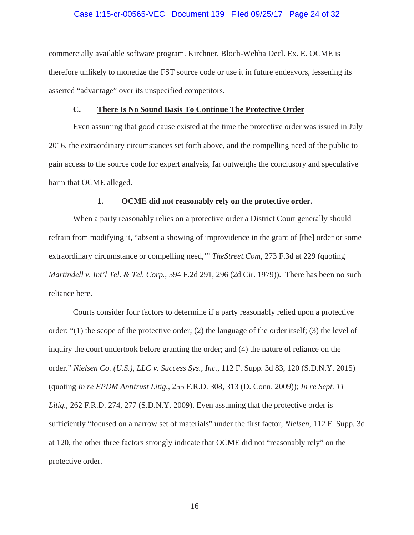#### Case 1:15-cr-00565-VEC Document 139 Filed 09/25/17 Page 24 of 32

commercially available software program. Kirchner, Bloch-Wehba Decl. Ex. E. OCME is therefore unlikely to monetize the FST source code or use it in future endeavors, lessening its asserted "advantage" over its unspecified competitors.

#### **C. There Is No Sound Basis To Continue The Protective Order**

Even assuming that good cause existed at the time the protective order was issued in July 2016, the extraordinary circumstances set forth above, and the compelling need of the public to gain access to the source code for expert analysis, far outweighs the conclusory and speculative harm that OCME alleged.

#### **1. OCME did not reasonably rely on the protective order.**

When a party reasonably relies on a protective order a District Court generally should refrain from modifying it, "absent a showing of improvidence in the grant of [the] order or some extraordinary circumstance or compelling need,'" *TheStreet.Com*, 273 F.3d at 229 (quoting *Martindell v. Int'l Tel. & Tel. Corp.*, 594 F.2d 291, 296 (2d Cir. 1979)). There has been no such reliance here.

Courts consider four factors to determine if a party reasonably relied upon a protective order: "(1) the scope of the protective order; (2) the language of the order itself; (3) the level of inquiry the court undertook before granting the order; and (4) the nature of reliance on the order." *Nielsen Co. (U.S.), LLC v. Success Sys., Inc.*, 112 F. Supp. 3d 83, 120 (S.D.N.Y. 2015) (quoting *In re EPDM Antitrust Litig.*, 255 F.R.D. 308, 313 (D. Conn. 2009)); *In re Sept. 11 Litig.*, 262 F.R.D. 274, 277 (S.D.N.Y. 2009). Even assuming that the protective order is sufficiently "focused on a narrow set of materials" under the first factor, *Nielsen*, 112 F. Supp. 3d at 120, the other three factors strongly indicate that OCME did not "reasonably rely" on the protective order.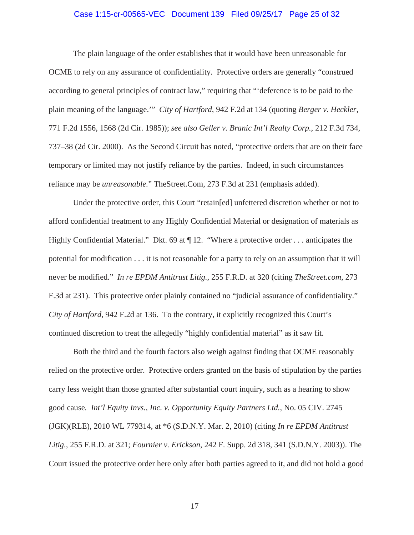#### Case 1:15-cr-00565-VEC Document 139 Filed 09/25/17 Page 25 of 32

The plain language of the order establishes that it would have been unreasonable for OCME to rely on any assurance of confidentiality. Protective orders are generally "construed according to general principles of contract law," requiring that "'deference is to be paid to the plain meaning of the language.'" *City of Hartford*, 942 F.2d at 134 (quoting *Berger v. Heckler*, 771 F.2d 1556, 1568 (2d Cir. 1985)); *see also Geller v. Branic Int'l Realty Corp.*, 212 F.3d 734, 737–38 (2d Cir. 2000). As the Second Circuit has noted, "protective orders that are on their face temporary or limited may not justify reliance by the parties. Indeed, in such circumstances reliance may be *unreasonable.*" TheStreet.Com, 273 F.3d at 231 (emphasis added).

Under the protective order, this Court "retain[ed] unfettered discretion whether or not to afford confidential treatment to any Highly Confidential Material or designation of materials as Highly Confidential Material." Dkt. 69 at  $\P$  12. "Where a protective order . . . anticipates the potential for modification . . . it is not reasonable for a party to rely on an assumption that it will never be modified." *In re EPDM Antitrust Litig.*, 255 F.R.D. at 320 (citing *TheStreet.com*, 273 F.3d at 231). This protective order plainly contained no "judicial assurance of confidentiality." *City of Hartford*, 942 F.2d at 136. To the contrary, it explicitly recognized this Court's continued discretion to treat the allegedly "highly confidential material" as it saw fit.

Both the third and the fourth factors also weigh against finding that OCME reasonably relied on the protective order. Protective orders granted on the basis of stipulation by the parties carry less weight than those granted after substantial court inquiry, such as a hearing to show good cause*. Int'l Equity Invs., Inc. v. Opportunity Equity Partners Ltd.*, No. 05 CIV. 2745 (JGK)(RLE), 2010 WL 779314, at \*6 (S.D.N.Y. Mar. 2, 2010) (citing *In re EPDM Antitrust Litig.*, 255 F.R.D. at 321; *Fournier v. Erickson*, 242 F. Supp. 2d 318, 341 (S.D.N.Y. 2003)). The Court issued the protective order here only after both parties agreed to it, and did not hold a good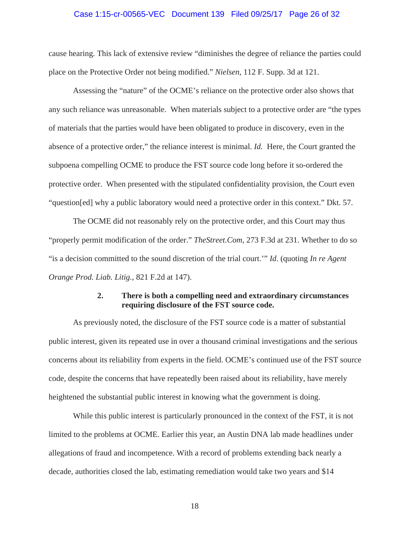#### Case 1:15-cr-00565-VEC Document 139 Filed 09/25/17 Page 26 of 32

cause hearing. This lack of extensive review "diminishes the degree of reliance the parties could place on the Protective Order not being modified." *Nielsen*, 112 F. Supp. 3d at 121.

Assessing the "nature" of the OCME's reliance on the protective order also shows that any such reliance was unreasonable. When materials subject to a protective order are "the types of materials that the parties would have been obligated to produce in discovery, even in the absence of a protective order," the reliance interest is minimal. *Id.* Here, the Court granted the subpoena compelling OCME to produce the FST source code long before it so-ordered the protective order. When presented with the stipulated confidentiality provision, the Court even "question[ed] why a public laboratory would need a protective order in this context." Dkt. 57.

The OCME did not reasonably rely on the protective order, and this Court may thus "properly permit modification of the order." *TheStreet.Com*, 273 F.3d at 231. Whether to do so "is a decision committed to the sound discretion of the trial court.'" *Id*. (quoting *In re Agent Orange Prod. Liab. Litig.*, 821 F.2d at 147).

### **2. There is both a compelling need and extraordinary circumstances requiring disclosure of the FST source code.**

As previously noted, the disclosure of the FST source code is a matter of substantial public interest, given its repeated use in over a thousand criminal investigations and the serious concerns about its reliability from experts in the field. OCME's continued use of the FST source code, despite the concerns that have repeatedly been raised about its reliability, have merely heightened the substantial public interest in knowing what the government is doing.

While this public interest is particularly pronounced in the context of the FST, it is not limited to the problems at OCME. Earlier this year, an Austin DNA lab made headlines under allegations of fraud and incompetence. With a record of problems extending back nearly a decade, authorities closed the lab, estimating remediation would take two years and \$14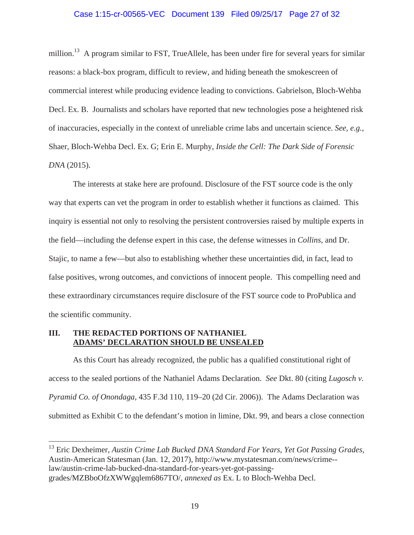#### Case 1:15-cr-00565-VEC Document 139 Filed 09/25/17 Page 27 of 32

million.<sup>13</sup> A program similar to FST, TrueAllele, has been under fire for several years for similar reasons: a black-box program, difficult to review, and hiding beneath the smokescreen of commercial interest while producing evidence leading to convictions. Gabrielson, Bloch-Wehba Decl. Ex. B. Journalists and scholars have reported that new technologies pose a heightened risk of inaccuracies, especially in the context of unreliable crime labs and uncertain science. *See, e.g.*, Shaer, Bloch-Wehba Decl. Ex. G; Erin E. Murphy, *Inside the Cell: The Dark Side of Forensic DNA* (2015).

The interests at stake here are profound. Disclosure of the FST source code is the only way that experts can vet the program in order to establish whether it functions as claimed. This inquiry is essential not only to resolving the persistent controversies raised by multiple experts in the field—including the defense expert in this case, the defense witnesses in *Collins*, and Dr. Stajic, to name a few—but also to establishing whether these uncertainties did, in fact, lead to false positives, wrong outcomes, and convictions of innocent people. This compelling need and these extraordinary circumstances require disclosure of the FST source code to ProPublica and the scientific community.

# **III. THE REDACTED PORTIONS OF NATHANIEL ADAMS' DECLARATION SHOULD BE UNSEALED**

 $\overline{a}$ 

As this Court has already recognized, the public has a qualified constitutional right of access to the sealed portions of the Nathaniel Adams Declaration. *See* Dkt. 80 (citing *Lugosch v. Pyramid Co. of Onondaga*, 435 F.3d 110, 119–20 (2d Cir. 2006)). The Adams Declaration was submitted as Exhibit C to the defendant's motion in limine, Dkt. 99, and bears a close connection

13 Eric Dexheimer, *Austin Crime Lab Bucked DNA Standard For Years, Yet Got Passing Grades*, Austin-American Statesman (Jan. 12, 2017), http://www.mystatesman.com/news/crime- law/austin-crime-lab-bucked-dna-standard-for-years-yet-got-passinggrades/MZBboOfzXWWgqlem6867TO/, *annexed as* Ex. L to Bloch-Wehba Decl.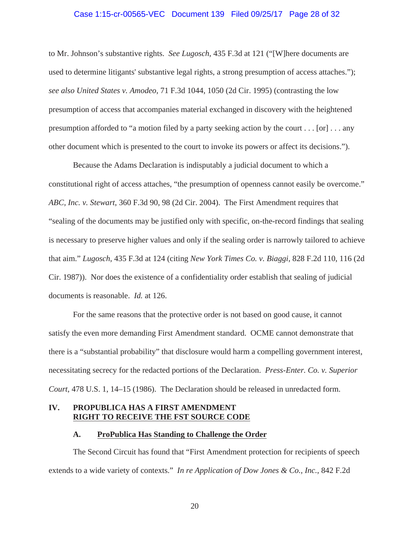#### Case 1:15-cr-00565-VEC Document 139 Filed 09/25/17 Page 28 of 32

to Mr. Johnson's substantive rights. *See Lugosch*, 435 F.3d at 121 ("[W]here documents are used to determine litigants' substantive legal rights, a strong presumption of access attaches."); *see also United States v. Amodeo*, 71 F.3d 1044, 1050 (2d Cir. 1995) (contrasting the low presumption of access that accompanies material exchanged in discovery with the heightened presumption afforded to "a motion filed by a party seeking action by the court  $\dots$  [or]  $\dots$  any other document which is presented to the court to invoke its powers or affect its decisions.").

Because the Adams Declaration is indisputably a judicial document to which a constitutional right of access attaches, "the presumption of openness cannot easily be overcome." *ABC, Inc. v. Stewart*, 360 F.3d 90, 98 (2d Cir. 2004). The First Amendment requires that "sealing of the documents may be justified only with specific, on-the-record findings that sealing is necessary to preserve higher values and only if the sealing order is narrowly tailored to achieve that aim." *Lugosch*, 435 F.3d at 124 (citing *New York Times Co. v. Biaggi*, 828 F.2d 110, 116 (2d Cir. 1987)). Nor does the existence of a confidentiality order establish that sealing of judicial documents is reasonable. *Id.* at 126.

For the same reasons that the protective order is not based on good cause, it cannot satisfy the even more demanding First Amendment standard. OCME cannot demonstrate that there is a "substantial probability" that disclosure would harm a compelling government interest, necessitating secrecy for the redacted portions of the Declaration. *Press-Enter. Co. v. Superior Court*, 478 U.S. 1, 14–15 (1986). The Declaration should be released in unredacted form.

## **IV. PROPUBLICA HAS A FIRST AMENDMENT RIGHT TO RECEIVE THE FST SOURCE CODE**

## **A. ProPublica Has Standing to Challenge the Order**

The Second Circuit has found that "First Amendment protection for recipients of speech extends to a wide variety of contexts." *In re Application of Dow Jones & Co., Inc.*, 842 F.2d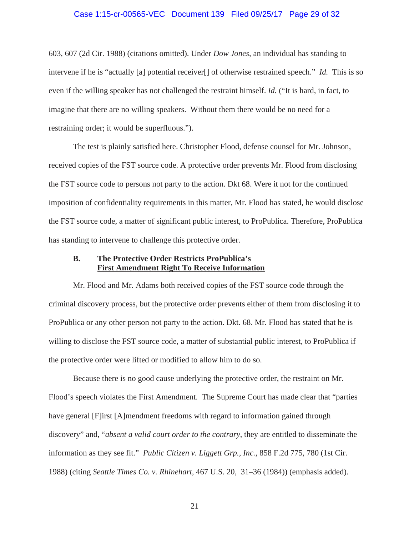#### Case 1:15-cr-00565-VEC Document 139 Filed 09/25/17 Page 29 of 32

603, 607 (2d Cir. 1988) (citations omitted). Under *Dow Jones*, an individual has standing to intervene if he is "actually [a] potential receiver[] of otherwise restrained speech." *Id.* This is so even if the willing speaker has not challenged the restraint himself. *Id.* ("It is hard, in fact, to imagine that there are no willing speakers. Without them there would be no need for a restraining order; it would be superfluous.").

The test is plainly satisfied here. Christopher Flood, defense counsel for Mr. Johnson, received copies of the FST source code. A protective order prevents Mr. Flood from disclosing the FST source code to persons not party to the action. Dkt 68. Were it not for the continued imposition of confidentiality requirements in this matter, Mr. Flood has stated, he would disclose the FST source code, a matter of significant public interest, to ProPublica. Therefore, ProPublica has standing to intervene to challenge this protective order.

### **B. The Protective Order Restricts ProPublica's First Amendment Right To Receive Information**

Mr. Flood and Mr. Adams both received copies of the FST source code through the criminal discovery process, but the protective order prevents either of them from disclosing it to ProPublica or any other person not party to the action. Dkt. 68. Mr. Flood has stated that he is willing to disclose the FST source code, a matter of substantial public interest, to ProPublica if the protective order were lifted or modified to allow him to do so.

Because there is no good cause underlying the protective order, the restraint on Mr. Flood's speech violates the First Amendment. The Supreme Court has made clear that "parties have general [F]irst [A]mendment freedoms with regard to information gained through discovery" and, "*absent a valid court order to the contrary*, they are entitled to disseminate the information as they see fit." *Public Citizen v. Liggett Grp., Inc.*, 858 F.2d 775, 780 (1st Cir. 1988) (citing *Seattle Times Co. v. Rhinehart*, 467 U.S. 20, 31–36 (1984)) (emphasis added).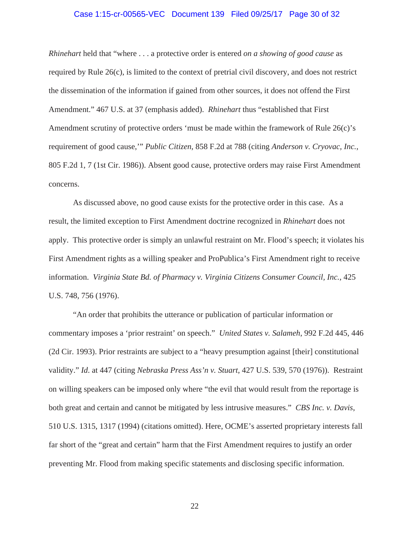#### Case 1:15-cr-00565-VEC Document 139 Filed 09/25/17 Page 30 of 32

*Rhinehart* held that "where . . . a protective order is entered *on a showing of good cause* as required by Rule 26(c), is limited to the context of pretrial civil discovery, and does not restrict the dissemination of the information if gained from other sources, it does not offend the First Amendment." 467 U.S. at 37 (emphasis added). *Rhinehart* thus "established that First Amendment scrutiny of protective orders 'must be made within the framework of Rule 26(c)'s requirement of good cause,'" *Public Citizen*, 858 F.2d at 788 (citing *Anderson v. Cryovac, Inc.*, 805 F.2d 1, 7 (1st Cir. 1986)). Absent good cause, protective orders may raise First Amendment concerns.

As discussed above, no good cause exists for the protective order in this case. As a result, the limited exception to First Amendment doctrine recognized in *Rhinehart* does not apply. This protective order is simply an unlawful restraint on Mr. Flood's speech; it violates his First Amendment rights as a willing speaker and ProPublica's First Amendment right to receive information. *Virginia State Bd. of Pharmacy v. Virginia Citizens Consumer Council, Inc.*, 425 U.S. 748, 756 (1976).

"An order that prohibits the utterance or publication of particular information or commentary imposes a 'prior restraint' on speech." *United States v. Salameh*, 992 F.2d 445, 446 (2d Cir. 1993). Prior restraints are subject to a "heavy presumption against [their] constitutional validity." *Id*. at 447 (citing *Nebraska Press Ass'n v. Stuart*, 427 U.S. 539, 570 (1976)). Restraint on willing speakers can be imposed only where "the evil that would result from the reportage is both great and certain and cannot be mitigated by less intrusive measures." *CBS Inc. v. Davis*, 510 U.S. 1315, 1317 (1994) (citations omitted). Here, OCME's asserted proprietary interests fall far short of the "great and certain" harm that the First Amendment requires to justify an order preventing Mr. Flood from making specific statements and disclosing specific information.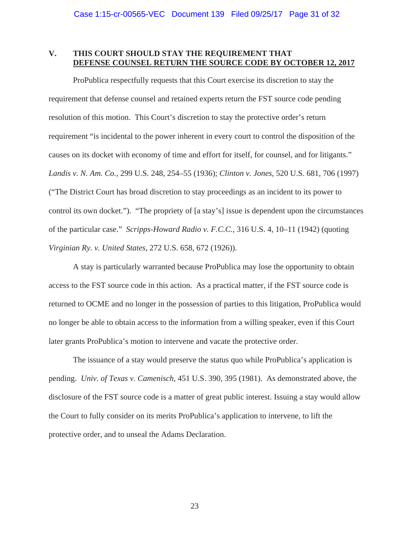# **V. THIS COURT SHOULD STAY THE REQUIREMENT THAT DEFENSE COUNSEL RETURN THE SOURCE CODE BY OCTOBER 12, 2017**

ProPublica respectfully requests that this Court exercise its discretion to stay the requirement that defense counsel and retained experts return the FST source code pending resolution of this motion. This Court's discretion to stay the protective order's return requirement "is incidental to the power inherent in every court to control the disposition of the causes on its docket with economy of time and effort for itself, for counsel, and for litigants." *Landis v. N. Am. Co.*, 299 U.S. 248, 254–55 (1936); *Clinton v. Jones*, 520 U.S. 681, 706 (1997) ("The District Court has broad discretion to stay proceedings as an incident to its power to control its own docket."). "The propriety of [a stay's] issue is dependent upon the circumstances of the particular case." *Scripps-Howard Radio v. F.C.C.*, 316 U.S. 4, 10–11 (1942) (quoting *Virginian Ry. v. United States*, 272 U.S. 658, 672 (1926)).

A stay is particularly warranted because ProPublica may lose the opportunity to obtain access to the FST source code in this action. As a practical matter, if the FST source code is returned to OCME and no longer in the possession of parties to this litigation, ProPublica would no longer be able to obtain access to the information from a willing speaker, even if this Court later grants ProPublica's motion to intervene and vacate the protective order.

The issuance of a stay would preserve the status quo while ProPublica's application is pending. *Univ. of Texas v. Camenisch*, 451 U.S. 390, 395 (1981). As demonstrated above, the disclosure of the FST source code is a matter of great public interest. Issuing a stay would allow the Court to fully consider on its merits ProPublica's application to intervene, to lift the protective order, and to unseal the Adams Declaration.